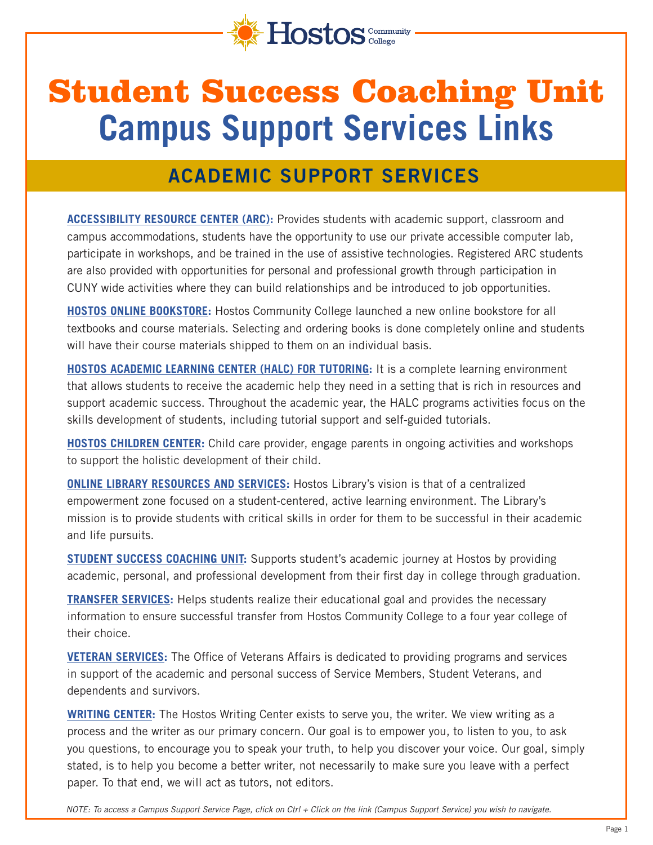

# Student Success Coaching Unit **Campus Support Services Links**

### **ACADEMIC SUPPORT SERVICES**

**[ACCESSIBILITY RESOURCE CENTER \(ARC\)](https://www.hostos.cuny.edu/Administrative-Offices/SDEM/Accessibility-Resource-Center-(ARC)):** Provides students with academic support, classroom and campus accommodations, students have the opportunity to use our private accessible computer lab, participate in workshops, and be trained in the use of assistive technologies. Registered ARC students are also provided with opportunities for personal and professional growth through participation in CUNY wide activities where they can build relationships and be introduced to job opportunities.

**[HOSTOS ONLINE BOOKSTORE](https://www.hostos.cuny.edu/Campus-Life/hostosbookstore):** Hostos Community College launched a new online bookstore for all textbooks and course materials. Selecting and ordering books is done completely online and students will have their course materials shipped to them on an individual basis.

**[HOSTOS ACADEMIC LEARNING CENTER \(HALC\) FOR TUTORING](https://apps.hostos.cuny.edu/halc/):** It is a complete learning environment that allows students to receive the academic help they need in a setting that is rich in resources and support academic success. Throughout the academic year, the HALC programs activities focus on the skills development of students, including tutorial support and self-guided tutorials.

**[HOSTOS CHILDREN CENTER:](https://www.hostos.cuny.edu/Administrative-Offices/SDEM/Children-s-Center)** Child care provider, engage parents in ongoing activities and workshops to support the holistic development of their child.

**[ONLINE LIBRARY RESOURCES AND SERVICES:](https://guides.hostos.cuny.edu/onlineservices)** Hostos Library's vision is that of a centralized empowerment zone focused on a student-centered, active learning environment. The Library's mission is to provide students with critical skills in order for them to be successful in their academic and life pursuits.

**[STUDENT SUCCESS COACHING UNIT:](https://www.hostos.cuny.edu/Administrative-Offices/SDEM/SSCU/Contact-Us)** Supports student's academic journey at Hostos by providing academic, personal, and professional development from their first day in college through graduation.

**[TRANSFER SERVICES:](https://www.hostos.cuny.edu/Administrative-Offices/SDEM/Transfer-Services)** Helps students realize their educational goal and provides the necessary information to ensure successful transfer from Hostos Community College to a four year college of their choice.

**[VETERAN SERVICES](https://www.hostos.cuny.edu/Administrative-Offices/SDEM/Office-of-Student-Programming-for-Veterans-and-Res/Contact-Us):** The Office of Veterans Affairs is dedicated to providing programs and services in support of the academic and personal success of Service Members, Student Veterans, and dependents and survivors.

[WRITING CENTER:](https://commons.hostos.cuny.edu/writingcenter/) The Hostos Writing Center exists to serve you, the writer. We view writing as a process and the writer as our primary concern. Our goal is to empower you, to listen to you, to ask you questions, to encourage you to speak your truth, to help you discover your voice. Our goal, simply stated, is to help you become a better writer, not necessarily to make sure you leave with a perfect paper. To that end, we will act as tutors, not editors.

*NOTE: To access a Campus Support Service Page, click on Ctrl + Click on the link (Campus Support Service) you wish to navigate.*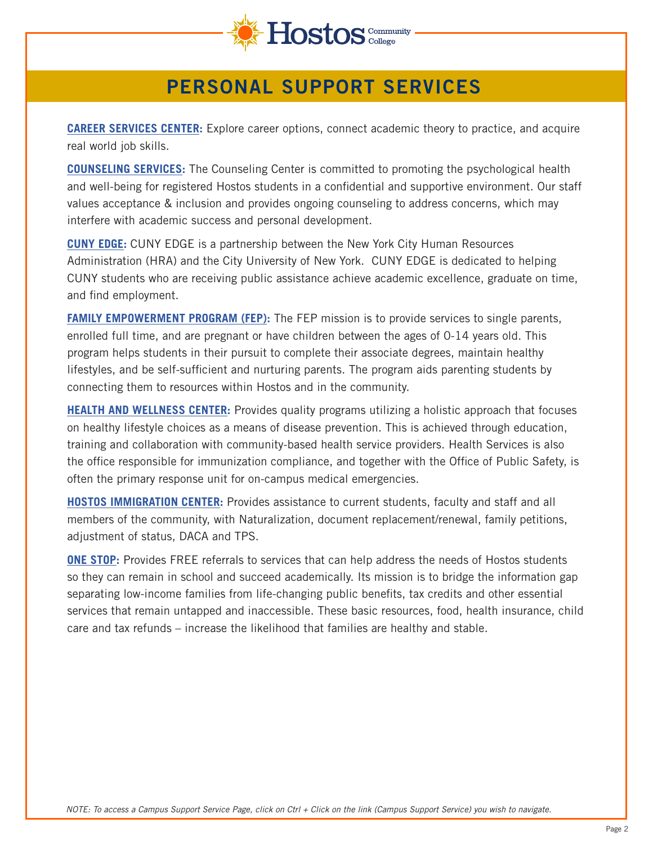

#### **PERSONAL SUPPORT SERVICES**

**[CAREER SERVICES CENTER](https://www.hostos.cuny.edu/Administrative-Offices/Career-Services-Office):** Explore career options, connect academic theory to practice, and acquire real world job skills.

**[COUNSELING SERVICES:](https://www.hostos.cuny.edu/Administrative-Offices/SDEM/Counseling-Services)** The Counseling Center is committed to promoting the psychological health and well-being for registered Hostos students in a confidential and supportive environment. Our staff values acceptance & inclusion and provides ongoing counseling to address concerns, which may interfere with academic success and personal development.

**[CUNY EDGE:](https://www.hostos.cuny.edu/Administrative-Offices/SDEM/CUNY-EDGE)** CUNY EDGE is a partnership between the New York City Human Resources Administration (HRA) and the City University of New York. CUNY EDGE is dedicated to helping CUNY students who are receiving public assistance achieve academic excellence, graduate on time, and find employment.

**[FAMILY EMPOWERMENT PROGRAM \(FEP\):](https://www.hostos.cuny.edu/Administrative-Offices/SDEM/Health-and-Wellness-Center/Contact-Us)** The FEP mission is to provide services to single parents, enrolled full time, and are pregnant or have children between the ages of 0-14 years old. This program helps students in their pursuit to complete their associate degrees, maintain healthy lifestyles, and be self-sufficient and nurturing parents. The program aids parenting students by connecting them to resources within Hostos and in the community.

**[HEALTH AND WELLNESS CENTER](https://www.hostos.cuny.edu/Administrative-Offices/SDEM/Health-and-Wellness-Center):** Provides quality programs utilizing a holistic approach that focuses on healthy lifestyle choices as a means of disease prevention. This is achieved through education, training and collaboration with community-based health service providers. Health Services is also the office responsible for immunization compliance, and together with the Office of Public Safety, is often the primary response unit for on-campus medical emergencies.

**[HOSTOS IMMIGRATION CENTER](https://www.hostos.cuny.edu/Administrative-Offices/SDEM/Immigration-Center):** Provides assistance to current students, faculty and staff and all members of the community, with Naturalization, document replacement/renewal, family petitions, adjustment of status, DACA and TPS.

**[ONE STOP](https://www.hostos.cuny.edu/Programs/One-Stop-Resource-Center/Contact-Us):** Provides FREE referrals to services that can help address the needs of Hostos students so they can remain in school and succeed academically. Its mission is to bridge the information gap separating low-income families from life-changing public benefits, tax credits and other essential services that remain untapped and inaccessible. These basic resources, food, health insurance, child care and tax refunds – increase the likelihood that families are healthy and stable.